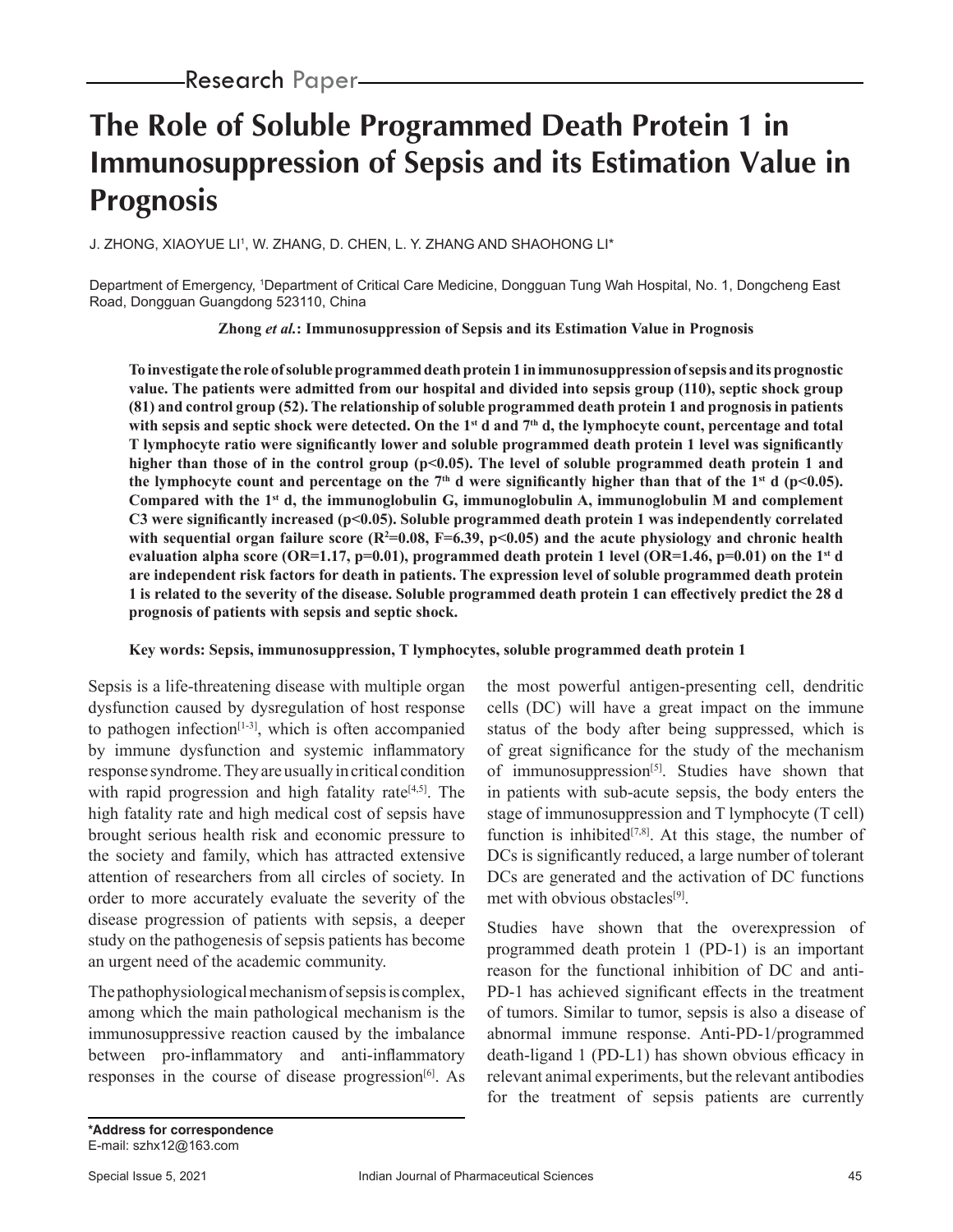# **The Role of Soluble Programmed Death Protein 1 in Immunosuppression of Sepsis and its Estimation Value in Prognosis**

J. ZHONG, XIAOYUE LI', W. ZHANG, D. CHEN, L. Y. ZHANG AND SHAOHONG LI\*

Department of Emergency, 1 Department of Critical Care Medicine, Dongguan Tung Wah Hospital, No. 1, Dongcheng East Road, Dongguan Guangdong 523110, China

**Zhong** *et al.***: Immunosuppression of Sepsis and its Estimation Value in Prognosis**

**To investigate the role of soluble programmed death protein 1 in immunosuppression of sepsis and its prognostic value. The patients were admitted from our hospital and divided into sepsis group (110), septic shock group (81) and control group (52). The relationship of soluble programmed death protein 1 and prognosis in patients**  with sepsis and septic shock were detected. On the 1<sup>st</sup> d and 7<sup>th</sup> d, the lymphocyte count, percentage and total **T lymphocyte ratio were significantly lower and soluble programmed death protein 1 level was significantly**  higher than those of in the control group (p<0.05). The level of soluble programmed death protein 1 and the lymphocyte count and percentage on the  $7<sup>th</sup>$  d were significantly higher than that of the  $1<sup>st</sup>$  d (p<0.05). **Compared with the 1st d, the immunoglobulin G, immunoglobulin A, immunoglobulin M and complement C3 were significantly increased (p<0.05). Soluble programmed death protein 1 was independently correlated**  with sequential organ failure score ( $R^2=0.08$ ,  $F=6.39$ ,  $p<0.05$ ) and the acute physiology and chronic health evaluation alpha score (OR=1.17, p=0.01), programmed death protein 1 level (OR=1.46, p=0.01) on the 1<sup>st</sup> d **are independent risk factors for death in patients. The expression level of soluble programmed death protein 1 is related to the severity of the disease. Soluble programmed death protein 1 can effectively predict the 28 d prognosis of patients with sepsis and septic shock.**

# **Key words: Sepsis, immunosuppression, T lymphocytes, soluble programmed death protein 1**

Sepsis is a life-threatening disease with multiple organ dysfunction caused by dysregulation of host response to pathogen infection $[1-3]$ , which is often accompanied by immune dysfunction and systemic inflammatory response syndrome. They are usually in critical condition with rapid progression and high fatality rate<sup> $[4,5]$ </sup>. The high fatality rate and high medical cost of sepsis have brought serious health risk and economic pressure to the society and family, which has attracted extensive attention of researchers from all circles of society. In order to more accurately evaluate the severity of the disease progression of patients with sepsis, a deeper study on the pathogenesis of sepsis patients has become an urgent need of the academic community.

The pathophysiological mechanism of sepsis is complex, among which the main pathological mechanism is the immunosuppressive reaction caused by the imbalance between pro-inflammatory and anti-inflammatory responses in the course of disease progression $[6]$ . As the most powerful antigen-presenting cell, dendritic cells (DC) will have a great impact on the immune status of the body after being suppressed, which is of great significance for the study of the mechanism of immunosuppression<sup>[5]</sup>. Studies have shown that in patients with sub-acute sepsis, the body enters the stage of immunosuppression and T lymphocyte (T cell) function is inhibited<sup>[7,8]</sup>. At this stage, the number of DCs is significantly reduced, a large number of tolerant DCs are generated and the activation of DC functions met with obvious obstacles<sup>[9]</sup>.

Studies have shown that the overexpression of programmed death protein 1 (PD-1) is an important reason for the functional inhibition of DC and anti-PD-1 has achieved significant effects in the treatment of tumors. Similar to tumor, sepsis is also a disease of abnormal immune response. Anti-PD-1/programmed death-ligand 1 (PD-L1) has shown obvious efficacy in relevant animal experiments, but the relevant antibodies for the treatment of sepsis patients are currently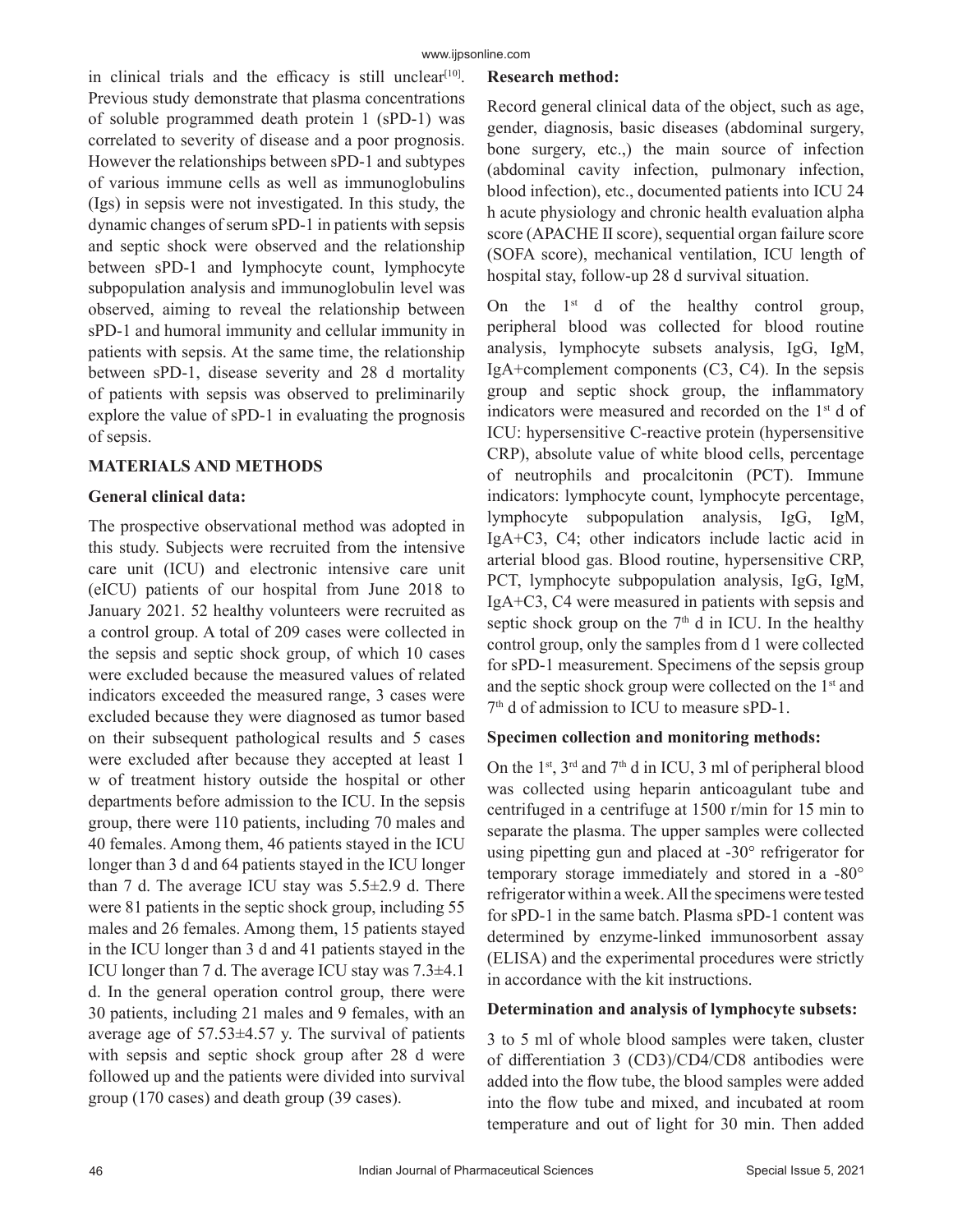in clinical trials and the efficacy is still unclear<sup>[10]</sup>. Previous study demonstrate that plasma concentrations of soluble programmed death protein 1 (sPD-1) was correlated to severity of disease and a poor prognosis. However the relationships between sPD-1 and subtypes of various immune cells as well as immunoglobulins (Igs) in sepsis were not investigated. In this study, the dynamic changes of serum sPD-1 in patients with sepsis and septic shock were observed and the relationship between sPD-1 and lymphocyte count, lymphocyte subpopulation analysis and immunoglobulin level was observed, aiming to reveal the relationship between sPD-1 and humoral immunity and cellular immunity in patients with sepsis. At the same time, the relationship between sPD-1, disease severity and 28 d mortality of patients with sepsis was observed to preliminarily explore the value of sPD-1 in evaluating the prognosis of sepsis.

# **MATERIALS AND METHODS**

# **General clinical data:**

The prospective observational method was adopted in this study. Subjects were recruited from the intensive care unit (ICU) and electronic intensive care unit (eICU) patients of our hospital from June 2018 to January 2021. 52 healthy volunteers were recruited as a control group. A total of 209 cases were collected in the sepsis and septic shock group, of which 10 cases were excluded because the measured values of related indicators exceeded the measured range, 3 cases were excluded because they were diagnosed as tumor based on their subsequent pathological results and 5 cases were excluded after because they accepted at least 1 w of treatment history outside the hospital or other departments before admission to the ICU. In the sepsis group, there were 110 patients, including 70 males and 40 females. Among them, 46 patients stayed in the ICU longer than 3 d and 64 patients stayed in the ICU longer than 7 d. The average ICU stay was  $5.5\pm2.9$  d. There were 81 patients in the septic shock group, including 55 males and 26 females. Among them, 15 patients stayed in the ICU longer than 3 d and 41 patients stayed in the ICU longer than 7 d. The average ICU stay was 7.3±4.1 d. In the general operation control group, there were 30 patients, including 21 males and 9 females, with an average age of 57.53±4.57 y. The survival of patients with sepsis and septic shock group after 28 d were followed up and the patients were divided into survival group (170 cases) and death group (39 cases).

# **Research method:**

Record general clinical data of the object, such as age, gender, diagnosis, basic diseases (abdominal surgery, bone surgery, etc.,) the main source of infection (abdominal cavity infection, pulmonary infection, blood infection), etc., documented patients into ICU 24 h acute physiology and chronic health evaluation alpha score (APACHE Ⅱ score), sequential organ failure score (SOFA score), mechanical ventilation, ICU length of hospital stay, follow-up 28 d survival situation.

On the  $1<sup>st</sup>$  d of the healthy control group, peripheral blood was collected for blood routine analysis, lymphocyte subsets analysis, IgG, IgM, IgA+complement components (C3, C4). In the sepsis group and septic shock group, the inflammatory indicators were measured and recorded on the 1<sup>st</sup> d of ICU: hypersensitive C-reactive protein (hypersensitive CRP), absolute value of white blood cells, percentage of neutrophils and procalcitonin (PCT). Immune indicators: lymphocyte count, lymphocyte percentage, lymphocyte subpopulation analysis, IgG, IgM, IgA+C3, C4; other indicators include lactic acid in arterial blood gas. Blood routine, hypersensitive CRP, PCT, lymphocyte subpopulation analysis, IgG, IgM, IgA+C3, C4 were measured in patients with sepsis and septic shock group on the  $7<sup>th</sup>$  d in ICU. In the healthy control group, only the samples from d 1 were collected for sPD-1 measurement. Specimens of the sepsis group and the septic shock group were collected on the 1<sup>st</sup> and 7<sup>th</sup> d of admission to ICU to measure sPD-1.

# **Specimen collection and monitoring methods:**

On the  $1<sup>st</sup>$ ,  $3<sup>rd</sup>$  and  $7<sup>th</sup>$  d in ICU, 3 ml of peripheral blood was collected using heparin anticoagulant tube and centrifuged in a centrifuge at 1500 r/min for 15 min to separate the plasma. The upper samples were collected using pipetting gun and placed at -30° refrigerator for temporary storage immediately and stored in a -80° refrigerator within a week. All the specimens were tested for sPD-1 in the same batch. Plasma sPD-1 content was determined by enzyme-linked immunosorbent assay (ELISA) and the experimental procedures were strictly in accordance with the kit instructions.

# **Determination and analysis of lymphocyte subsets:**

3 to 5 ml of whole blood samples were taken, cluster of differentiation 3 (CD3)/CD4/CD8 antibodies were added into the flow tube, the blood samples were added into the flow tube and mixed, and incubated at room temperature and out of light for 30 min. Then added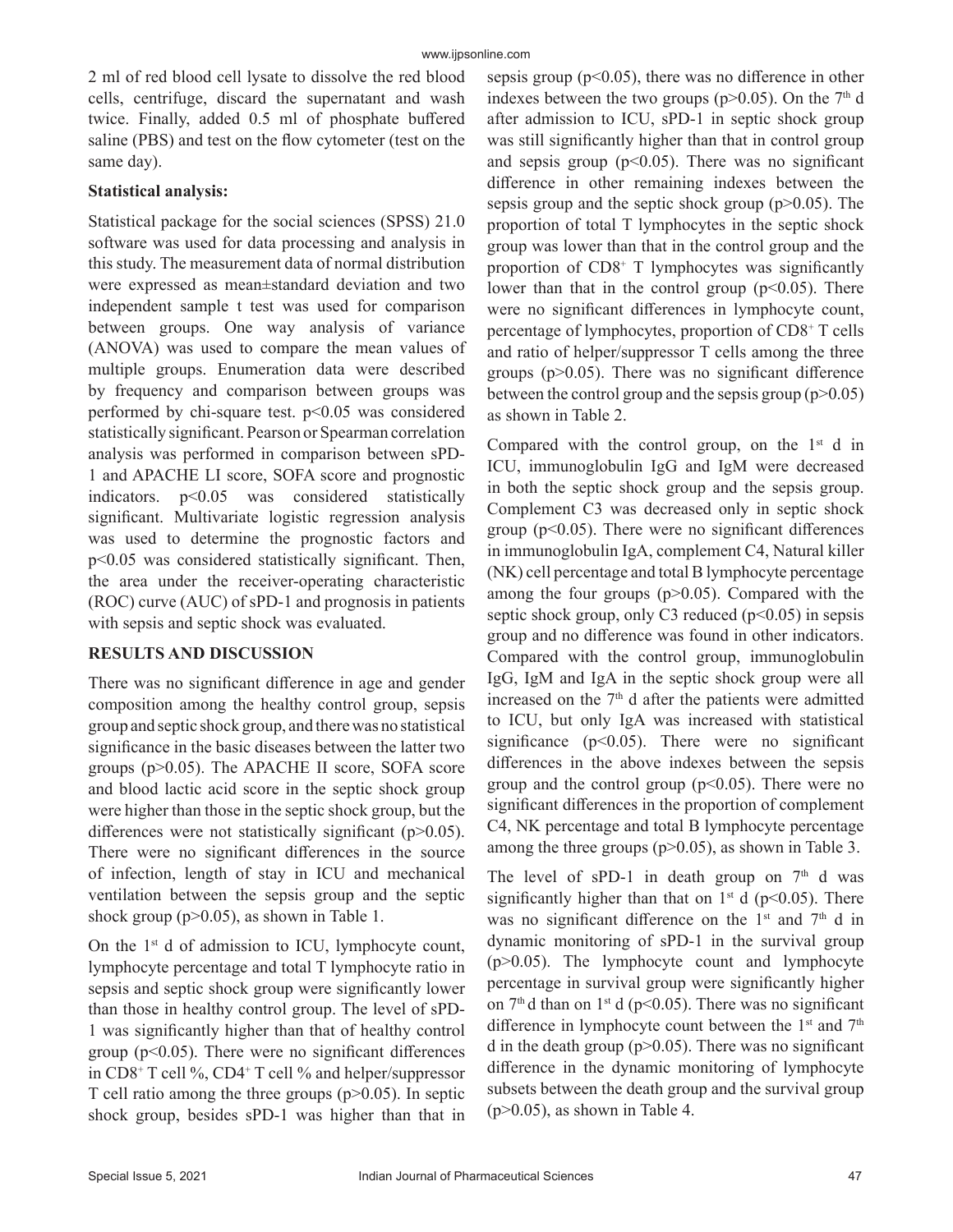2 ml of red blood cell lysate to dissolve the red blood cells, centrifuge, discard the supernatant and wash twice. Finally, added 0.5 ml of phosphate buffered saline (PBS) and test on the flow cytometer (test on the same day).

# **Statistical analysis:**

Statistical package for the social sciences (SPSS) 21.0 software was used for data processing and analysis in this study. The measurement data of normal distribution were expressed as mean±standard deviation and two independent sample t test was used for comparison between groups. One way analysis of variance (ANOVA) was used to compare the mean values of multiple groups. Enumeration data were described by frequency and comparison between groups was performed by chi-square test.  $p<0.05$  was considered statistically significant. Pearson or Spearman correlation analysis was performed in comparison between sPD-1 and APACHE LI score, SOFA score and prognostic indicators.  $p<0.05$  was considered statistically significant. Multivariate logistic regression analysis was used to determine the prognostic factors and p<0.05 was considered statistically significant. Then, the area under the receiver-operating characteristic (ROC) curve (AUC) of sPD-1 and prognosis in patients with sepsis and septic shock was evaluated.

# **RESULTS AND DISCUSSION**

There was no significant difference in age and gender composition among the healthy control group, sepsis group and septic shock group, and there was no statistical significance in the basic diseases between the latter two groups (p>0.05). The APACHE II score, SOFA score and blood lactic acid score in the septic shock group were higher than those in the septic shock group, but the differences were not statistically significant (p>0.05). There were no significant differences in the source of infection, length of stay in ICU and mechanical ventilation between the sepsis group and the septic shock group (p>0.05), as shown in Table 1.

On the  $1<sup>st</sup>$  d of admission to ICU, lymphocyte count, lymphocyte percentage and total T lymphocyte ratio in sepsis and septic shock group were significantly lower than those in healthy control group. The level of sPD-1 was significantly higher than that of healthy control group ( $p<0.05$ ). There were no significant differences in CD8+ T cell %, CD4+ T cell % and helper/suppressor T cell ratio among the three groups  $(p>0.05)$ . In septic shock group, besides sPD-1 was higher than that in

sepsis group ( $p<0.05$ ), there was no difference in other indexes between the two groups ( $p > 0.05$ ). On the 7<sup>th</sup> d after admission to ICU, sPD-1 in septic shock group was still significantly higher than that in control group and sepsis group ( $p<0.05$ ). There was no significant difference in other remaining indexes between the sepsis group and the septic shock group  $(p>0.05)$ . The proportion of total T lymphocytes in the septic shock group was lower than that in the control group and the proportion of CD8<sup>+</sup> T lymphocytes was significantly lower than that in the control group  $(p<0.05)$ . There were no significant differences in lymphocyte count, percentage of lymphocytes, proportion of CD8+ T cells and ratio of helper/suppressor T cells among the three groups  $(p>0.05)$ . There was no significant difference between the control group and the sepsis group  $(p>0.05)$ as shown in Table 2.

Compared with the control group, on the  $1<sup>st</sup>$  d in ICU, immunoglobulin IgG and IgM were decreased in both the septic shock group and the sepsis group. Complement C3 was decreased only in septic shock group ( $p<0.05$ ). There were no significant differences in immunoglobulin IgA, complement C4, Natural killer (NK) cell percentage and total B lymphocyte percentage among the four groups  $(p>0.05)$ . Compared with the septic shock group, only C3 reduced  $(p<0.05)$  in sepsis group and no difference was found in other indicators. Compared with the control group, immunoglobulin IgG, IgM and IgA in the septic shock group were all increased on the  $7<sup>th</sup>$  d after the patients were admitted to ICU, but only IgA was increased with statistical significance ( $p<0.05$ ). There were no significant differences in the above indexes between the sepsis group and the control group ( $p$ <0.05). There were no significant differences in the proportion of complement C4, NK percentage and total B lymphocyte percentage among the three groups (p>0.05), as shown in Table 3.

The level of sPD-1 in death group on  $7<sup>th</sup>$  d was significantly higher than that on  $1<sup>st</sup>$  d (p<0.05). There was no significant difference on the  $1<sup>st</sup>$  and  $7<sup>th</sup>$  d in dynamic monitoring of sPD-1 in the survival group (p>0.05). The lymphocyte count and lymphocyte percentage in survival group were significantly higher on  $7<sup>th</sup>$ d than on  $1<sup>st</sup>$  d (p<0.05). There was no significant difference in lymphocyte count between the  $1<sup>st</sup>$  and  $7<sup>th</sup>$ d in the death group ( $p > 0.05$ ). There was no significant difference in the dynamic monitoring of lymphocyte subsets between the death group and the survival group  $(p>0.05)$ , as shown in Table 4.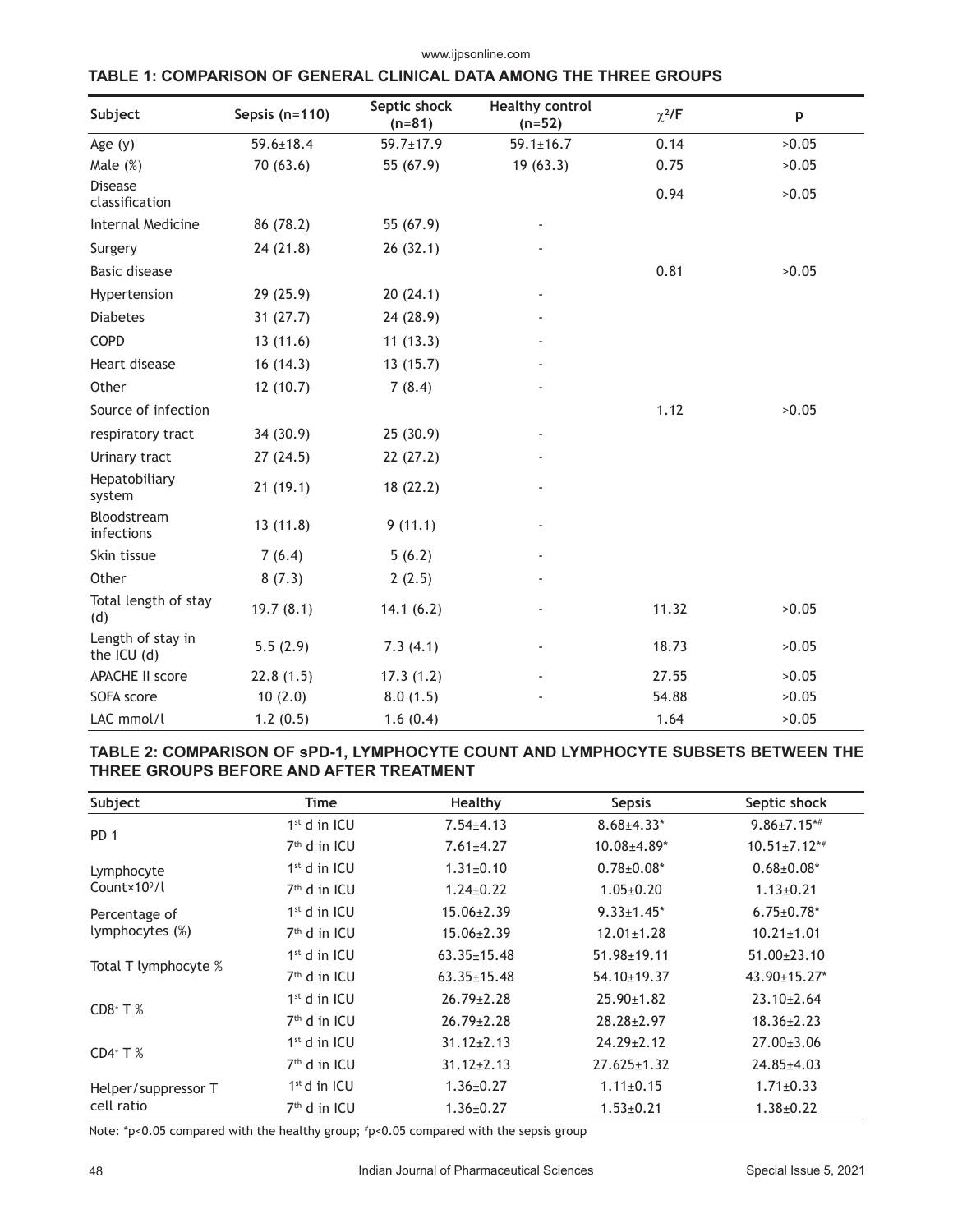| Subject                          | Sepsis (n=110)  | Septic shock<br>$(n=81)$ | <b>Healthy control</b><br>$(n=52)$ | $\chi^2$ /F | p     |
|----------------------------------|-----------------|--------------------------|------------------------------------|-------------|-------|
| Age $(y)$                        | $59.6 \pm 18.4$ | $59.7 \pm 17.9$          | $59.1 \pm 16.7$                    | 0.14        | >0.05 |
| Male $(\%)$                      | 70 (63.6)       | 55 (67.9)                | 19(63.3)                           | 0.75        | >0.05 |
| <b>Disease</b><br>classification |                 |                          |                                    | 0.94        | >0.05 |
| <b>Internal Medicine</b>         | 86 (78.2)       | 55 (67.9)                |                                    |             |       |
| Surgery                          | 24 (21.8)       | 26(32.1)                 |                                    |             |       |
| <b>Basic disease</b>             |                 |                          |                                    | 0.81        | >0.05 |
| Hypertension                     | 29(25.9)        | 20(24.1)                 |                                    |             |       |
| <b>Diabetes</b>                  | 31(27.7)        | 24 (28.9)                |                                    |             |       |
| COPD                             | 13(11.6)        | 11(13.3)                 |                                    |             |       |
| Heart disease                    | 16(14.3)        | 13(15.7)                 |                                    |             |       |
| Other                            | 12(10.7)        | 7(8.4)                   |                                    |             |       |
| Source of infection              |                 |                          |                                    | 1.12        | >0.05 |
| respiratory tract                | 34 (30.9)       | 25(30.9)                 |                                    |             |       |
| Urinary tract                    | 27(24.5)        | 22(27.2)                 |                                    |             |       |
| Hepatobiliary<br>system          | 21(19.1)        | 18 (22.2)                |                                    |             |       |
| Bloodstream<br>infections        | 13(11.8)        | 9(11.1)                  |                                    |             |       |
| Skin tissue                      | 7(6.4)          | 5(6.2)                   |                                    |             |       |
| Other                            | 8(7.3)          | 2(2.5)                   |                                    |             |       |
| Total length of stay<br>(d)      | 19.7(8.1)       | 14.1(6.2)                |                                    | 11.32       | >0.05 |
| Length of stay in<br>the ICU (d) | 5.5(2.9)        | 7.3(4.1)                 |                                    | 18.73       | >0.05 |
| <b>APACHE II score</b>           | 22.8(1.5)       | 17.3(1.2)                |                                    | 27.55       | >0.05 |
| SOFA score                       | 10(2.0)         | 8.0(1.5)                 |                                    | 54.88       | >0.05 |
| LAC mmol/l                       | 1.2(0.5)        | 1.6(0.4)                 |                                    | 1.64        | >0.05 |

www.ijpsonline.com

# **TABLE 1: COMPARISON OF GENERAL CLINICAL DATA AMONG THE THREE GROUPS**

# **TABLE 2: COMPARISON OF sPD-1, LYMPHOCYTE COUNT AND LYMPHOCYTE SUBSETS BETWEEN THE THREE GROUPS BEFORE AND AFTER TREATMENT**

| Subject                   | Time           | Healthy           | <b>Sepsis</b>     | Septic shock       |
|---------------------------|----------------|-------------------|-------------------|--------------------|
|                           | $1st$ d in ICU | $7.54 \pm 4.13$   | $8.68{\pm}4.33*$  | $9.86 \pm 7.15**$  |
| PD <sub>1</sub>           | $7th$ d in ICU | $7.61 \pm 4.27$   | $10.08 + 4.89*$   | $10.51 \pm 7.12**$ |
| Lymphocyte                | $1st$ d in ICU | $1.31 \pm 0.10$   | $0.78 \pm 0.08^*$ | $0.68 \pm 0.08^*$  |
| Count $\times$ 10 $^9$ /l | $7th$ d in ICU | $1.24 \pm 0.22$   | $1.05 \pm 0.20$   | $1.13 \pm 0.21$    |
| Percentage of             | $1st$ d in ICU | $15.06 \pm 2.39$  | $9.33 \pm 1.45$ * | $6.75 \pm 0.78$ *  |
| lymphocytes (%)           | $7th$ d in ICU | $15.06 \pm 2.39$  | $12.01 \pm 1.28$  | $10.21 \pm 1.01$   |
| Total T lymphocyte %      | $1st$ d in ICU | $63.35 \pm 15.48$ | $51.98 \pm 19.11$ | $51.00 \pm 23.10$  |
|                           | $7th$ d in ICU | $63.35 \pm 15.48$ | $54.10 \pm 19.37$ | 43.90±15.27*       |
| $CD8+T%$                  | $1st$ d in ICU | $26.79 \pm 2.28$  | $25.90 \pm 1.82$  | $23.10 \pm 2.64$   |
|                           | $7th$ d in ICU | $26.79 \pm 2.28$  | $28.28 \pm 2.97$  | $18.36 \pm 2.23$   |
|                           | $1st$ d in ICU | $31.12 \pm 2.13$  | $24.29 \pm 2.12$  | $27.00 \pm 3.06$   |
| $CD4$ <sup>+</sup> T $%$  | $7th$ d in ICU | $31.12 \pm 2.13$  | $27.625 \pm 1.32$ | $24.85 \pm 4.03$   |
| Helper/suppressor T       | $1st$ d in ICU | $1.36 \pm 0.27$   | $1.11 \pm 0.15$   | $1.71 \pm 0.33$    |
| cell ratio                | $7th$ d in ICU | $1.36 \pm 0.27$   | $1.53 \pm 0.21$   | $1.38 \pm 0.22$    |

Note: \*p<0.05 compared with the healthy group; # p<0.05 compared with the sepsis group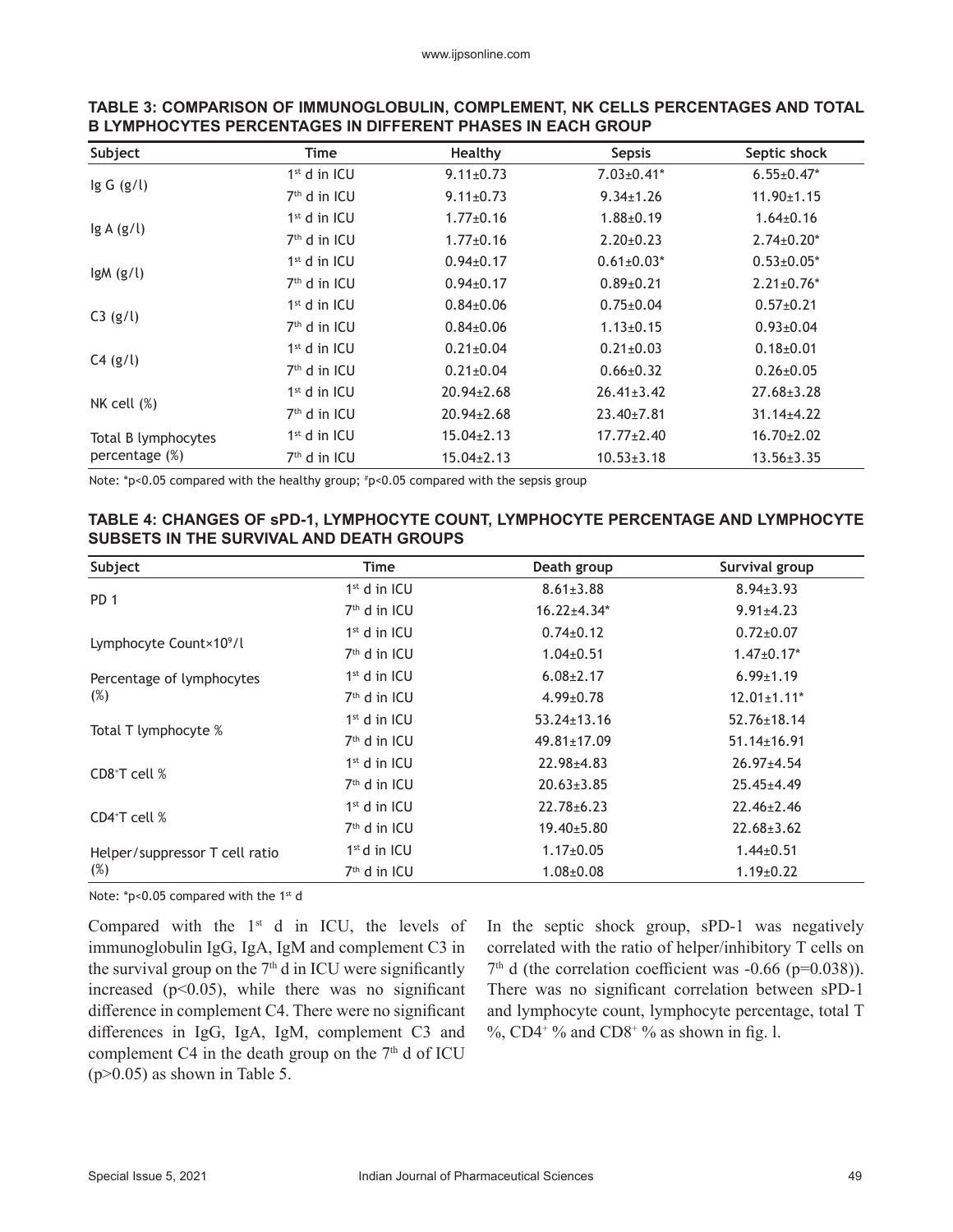| Subject             | Time           | Healthy          | <b>Sepsis</b>     | Septic shock      |
|---------------------|----------------|------------------|-------------------|-------------------|
|                     | $1st$ d in ICU | $9.11 \pm 0.73$  | $7.03 \pm 0.41$ * | $6.55 \pm 0.47$ * |
| lg G (g/l)          | $7th$ d in ICU | $9.11 \pm 0.73$  | $9.34 \pm 1.26$   | $11.90 \pm 1.15$  |
|                     | $1st$ d in ICU | $1.77 \pm 0.16$  | $1.88 \pm 0.19$   | $1.64 \pm 0.16$   |
| lg A (g/l)          | $7th$ d in ICU | $1.77 \pm 0.16$  | $2.20 \pm 0.23$   | $2.74 \pm 0.20*$  |
|                     | $1st$ d in ICU | $0.94 \pm 0.17$  | $0.61 \pm 0.03*$  | $0.53 \pm 0.05^*$ |
| $lgM$ (g/l)         | $7th$ d in ICU | $0.94 \pm 0.17$  | $0.89 \pm 0.21$   | $2.21 \pm 0.76*$  |
|                     | $1st$ d in ICU | $0.84 \pm 0.06$  | $0.75 \pm 0.04$   | $0.57 \pm 0.21$   |
| C3 (g/l)            | $7th$ d in ICU | $0.84 \pm 0.06$  | $1.13 \pm 0.15$   | $0.93 \pm 0.04$   |
|                     | $1st$ d in ICU | $0.21 \pm 0.04$  | $0.21 \pm 0.03$   | $0.18 + 0.01$     |
| C4 (g/l)            | $7th$ d in ICU | $0.21 \pm 0.04$  | $0.66 \pm 0.32$   | $0.26 \pm 0.05$   |
|                     | $1st$ d in ICU | $20.94 \pm 2.68$ | $26.41 \pm 3.42$  | $27.68 \pm 3.28$  |
| NK cell $(\%)$      | $7th$ d in ICU | 20.94±2.68       | $23.40 \pm 7.81$  | $31.14 \pm 4.22$  |
| Total B lymphocytes | $1st$ d in ICU | $15.04 \pm 2.13$ | $17.77 \pm 2.40$  | $16.70 \pm 2.02$  |
| percentage (%)      | $7th$ d in ICU | $15.04 \pm 2.13$ | $10.53 \pm 3.18$  | $13.56 \pm 3.35$  |

#### **TABLE 3: COMPARISON OF IMMUNOGLOBULIN, COMPLEMENT, NK CELLS PERCENTAGES AND TOTAL B LYMPHOCYTES PERCENTAGES IN DIFFERENT PHASES IN EACH GROUP**

Note:  $p>0.05$  compared with the healthy group;  $p>0.05$  compared with the sepsis group

#### **TABLE 4: CHANGES OF sPD-1, LYMPHOCYTE COUNT, LYMPHOCYTE PERCENTAGE AND LYMPHOCYTE SUBSETS IN THE SURVIVAL AND DEATH GROUPS**

| Subject                             | Time                     | Death group       | Survival group                |
|-------------------------------------|--------------------------|-------------------|-------------------------------|
| PD <sub>1</sub>                     | $1st$ d in ICU           | $8.61 \pm 3.88$   | $8.94 \pm 3.93$               |
|                                     | $7th$ d in ICU           | $16.22{\pm}4.34*$ | $9.91 \pm 4.23$               |
|                                     | $1st$ d in ICU           | $0.74 \pm 0.12$   | $0.72 \pm 0.07$               |
| Lymphocyte Count×10 <sup>9</sup> /l | $7th$ d in ICU           | $1.04 \pm 0.51$   | $1.47 \pm 0.17$ *             |
| Percentage of lymphocytes           | $1st$ d in ICU           | $6.08 \pm 2.17$   | $6.99 \pm 1.19$               |
| (%)                                 | $7th$ d in ICU           | $4.99 \pm 0.78$   | $12.01 \pm 1.11$ <sup>*</sup> |
|                                     | $1st$ d in ICU           | $53.24 \pm 13.16$ | $52.76 \pm 18.14$             |
| Total T lymphocyte %                | $7th$ d in ICU           | 49.81±17.09       | $51.14 \pm 16.91$             |
|                                     | $1st$ d in ICU           | $22.98 \pm 4.83$  | $26.97 \pm 4.54$              |
| CD8 <sup>+</sup> T cell $%$         | $7th$ d in ICU           | $20.63 \pm 3.85$  | $25.45 \pm 4.49$              |
|                                     | $1st$ d in ICU           | $22.78 \pm 6.23$  | $22.46 \pm 2.46$              |
| $CD4$ <sup>+</sup> T cell $%$       | 7 <sup>th</sup> d in ICU | $19.40 \pm 5.80$  | $22.68 \pm 3.62$              |
| Helper/suppressor T cell ratio      | $1st$ d in ICU           | $1.17 \pm 0.05$   | $1.44 \pm 0.51$               |
| (%)                                 | $7th$ d in ICU           | $1.08 \pm 0.08$   | $1.19 \pm 0.22$               |

Note: \*p<0.05 compared with the 1st d

Compared with the 1st d in ICU, the levels of immunoglobulin IgG, IgA, IgM and complement C3 in the survival group on the  $7<sup>th</sup>$  d in ICU were significantly increased  $(p<0.05)$ , while there was no significant difference in complement C4. There were no significant differences in IgG, IgA, IgM, complement C3 and complement C4 in the death group on the  $7<sup>th</sup>$  d of ICU  $(p>0.05)$  as shown in Table 5.

In the septic shock group, sPD-1 was negatively correlated with the ratio of helper/inhibitory T cells on  $7<sup>th</sup>$  d (the correlation coefficient was -0.66 (p=0.038)). There was no significant correlation between sPD-1 and lymphocyte count, lymphocyte percentage, total T %, CD4<sup>+ o</sup>% and CD8<sup>+ o</sup>% as shown in fig. l.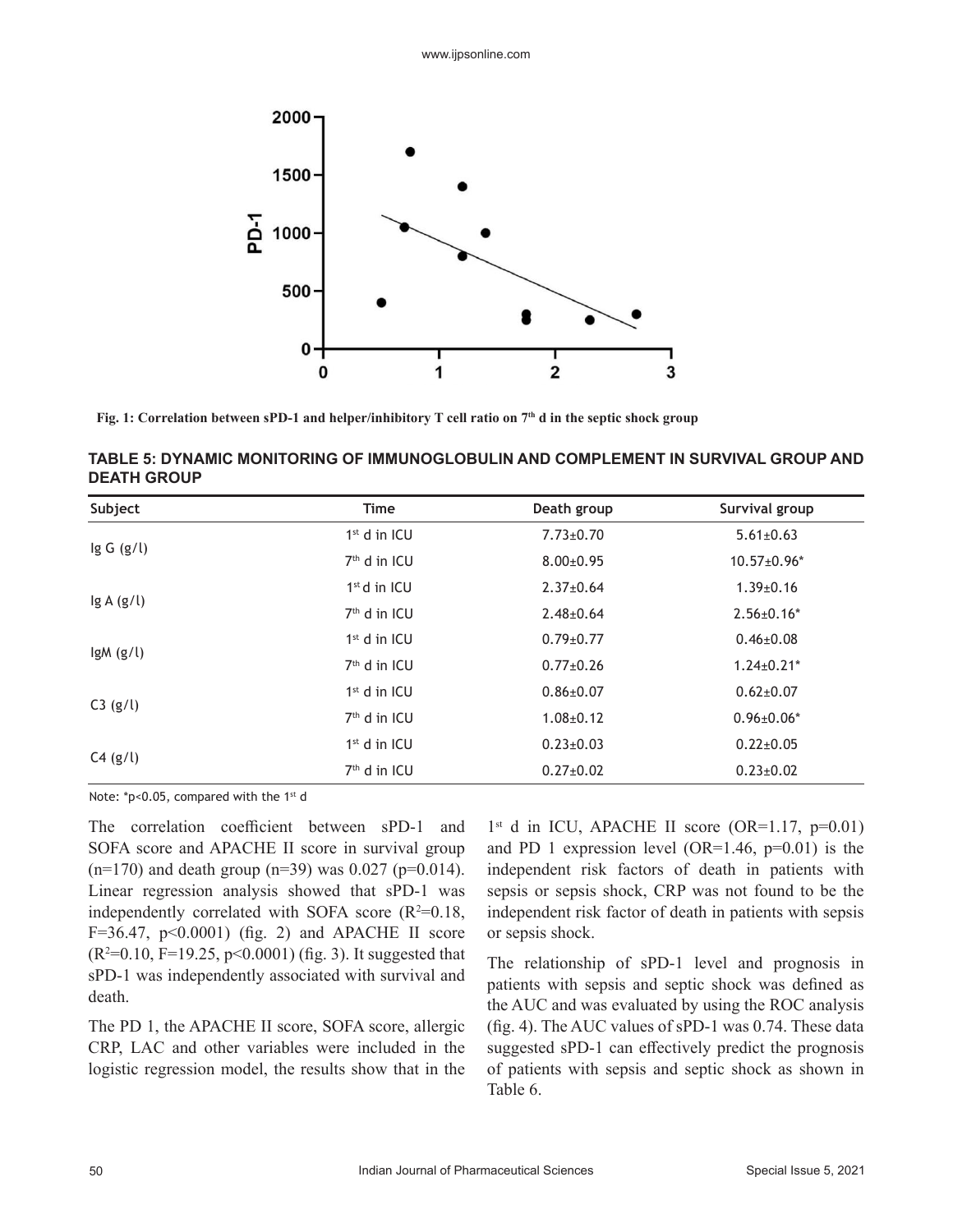

**Fig. 1: Correlation between sPD-1 and helper/inhibitory T cell ratio on 7th d in the septic shock group**

| TABLE 5: DYNAMIC MONITORING OF IMMUNOGLOBULIN AND COMPLEMENT IN SURVIVAL GROUP AND |  |
|------------------------------------------------------------------------------------|--|
| <b>DEATH GROUP</b>                                                                 |  |

| Subject       | <b>Time</b>              | Death group     | Survival group    |
|---------------|--------------------------|-----------------|-------------------|
|               | $1st$ d in ICU           | $7.73 \pm 0.70$ | $5.61 \pm 0.63$   |
| $\lg G$ (g/l) | 7 <sup>th</sup> d in ICU | $8.00 \pm 0.95$ | $10.57 \pm 0.96*$ |
|               | $1st$ d in ICU           | $2.37 \pm 0.64$ | $1.39 \pm 0.16$   |
| lg A(g/l)     | 7 <sup>th</sup> d in ICU | $2.48 \pm 0.64$ | $2.56 \pm 0.16^*$ |
|               | $1st$ d in ICU           | $0.79 \pm 0.77$ | $0.46 \pm 0.08$   |
| $lgM$ (g/l)   | 7 <sup>th</sup> d in ICU | $0.77 \pm 0.26$ | $1.24 \pm 0.21$ * |
|               | $1st$ d in ICU           | $0.86 \pm 0.07$ | $0.62{\pm}0.07$   |
| C3 (g/l)      | $7th$ d in ICU           | $1.08 \pm 0.12$ | $0.96 \pm 0.06*$  |
|               | $1st$ d in ICU           | $0.23 \pm 0.03$ | $0.22 \pm 0.05$   |
| C4 (g/l)      | $7th$ d in ICU           | $0.27 \pm 0.02$ | $0.23 \pm 0.02$   |

Note: \*p<0.05, compared with the 1st d

The correlation coefficient between sPD-1 and SOFA score and APACHE II score in survival group  $(n=170)$  and death group  $(n=39)$  was 0.027 (p=0.014). Linear regression analysis showed that sPD-1 was independently correlated with SOFA score  $(R^2=0.18,$  $F=36.47$ ,  $p<0.0001$ ) (fig. 2) and APACHE II score  $(R<sup>2</sup>=0.10, F=19.25, p<0.0001)$  (fig. 3). It suggested that sPD-1 was independently associated with survival and death.

The PD 1, the APACHE II score, SOFA score, allergic CRP, LAC and other variables were included in the logistic regression model, the results show that in the

 $1<sup>st</sup>$  d in ICU, APACHE II score (OR=1.17, p=0.01) and PD 1 expression level (OR=1.46,  $p=0.01$ ) is the independent risk factors of death in patients with sepsis or sepsis shock, CRP was not found to be the independent risk factor of death in patients with sepsis or sepsis shock.

The relationship of sPD-1 level and prognosis in patients with sepsis and septic shock was defined as the AUC and was evaluated by using the ROC analysis (fig. 4). The AUC values of sPD-1 was 0.74. These data suggested sPD-1 can effectively predict the prognosis of patients with sepsis and septic shock as shown in Table 6.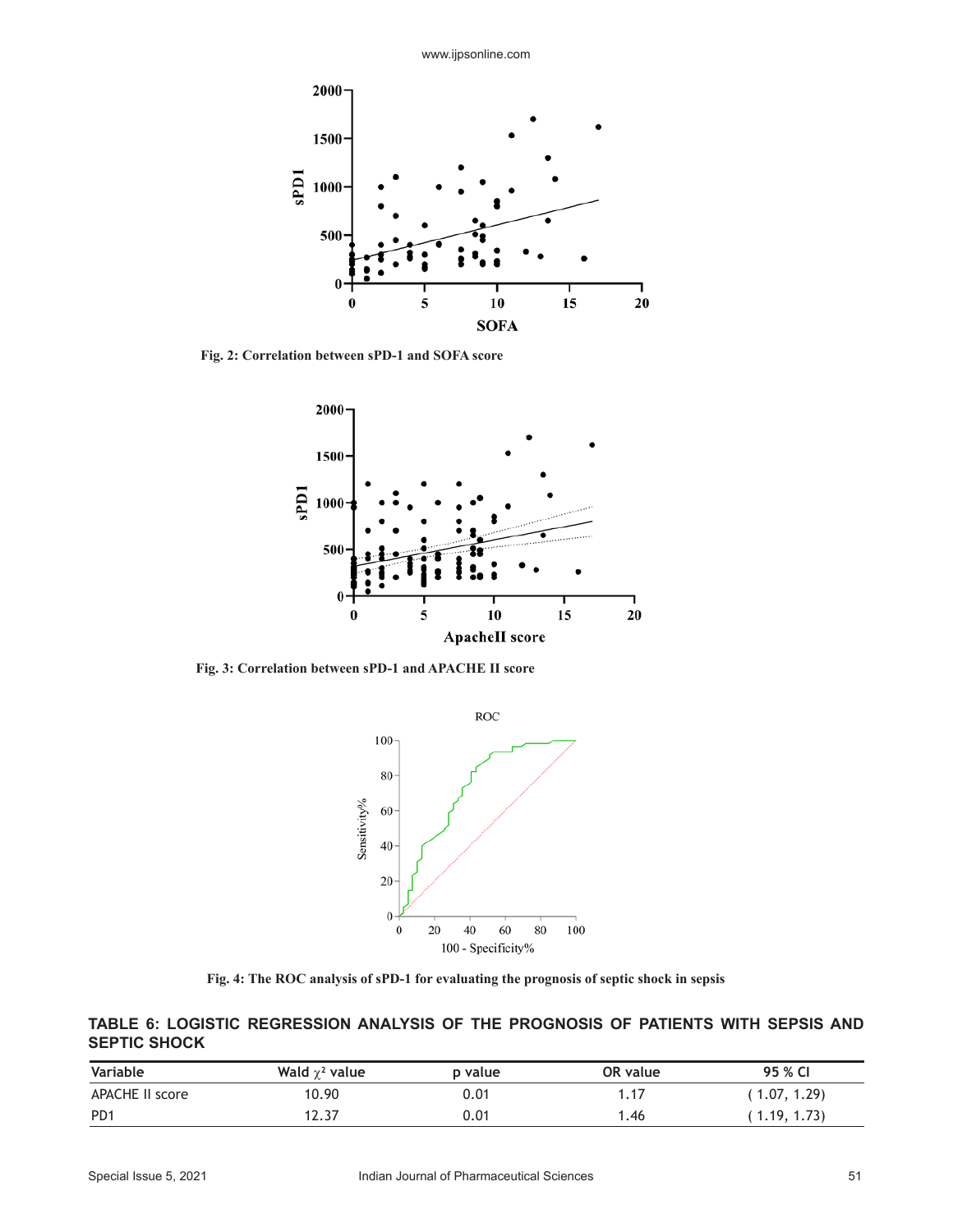

**Fig. 2: Correlation between sPD-1 and SOFA score**



**Fig. 3: Correlation between sPD-1 and APACHE II score**



**Fig. 4: The ROC analysis of sPD-1 for evaluating the prognosis of septic shock in sepsis**

**TABLE 6: LOGISTIC REGRESSION ANALYSIS OF THE PROGNOSIS OF PATIENTS WITH SEPSIS AND SEPTIC SHOCK**

| Variable         | Wald $\chi^2$ value | p value | OR value | 95 % CI      |
|------------------|---------------------|---------|----------|--------------|
| APACHE II score  | 10.90               | 0.01    | 1.17     | 1.07, 1.29   |
| P <sub>D</sub> 1 | 12.37               | 0.01    | .46      | (1.19, 1.73) |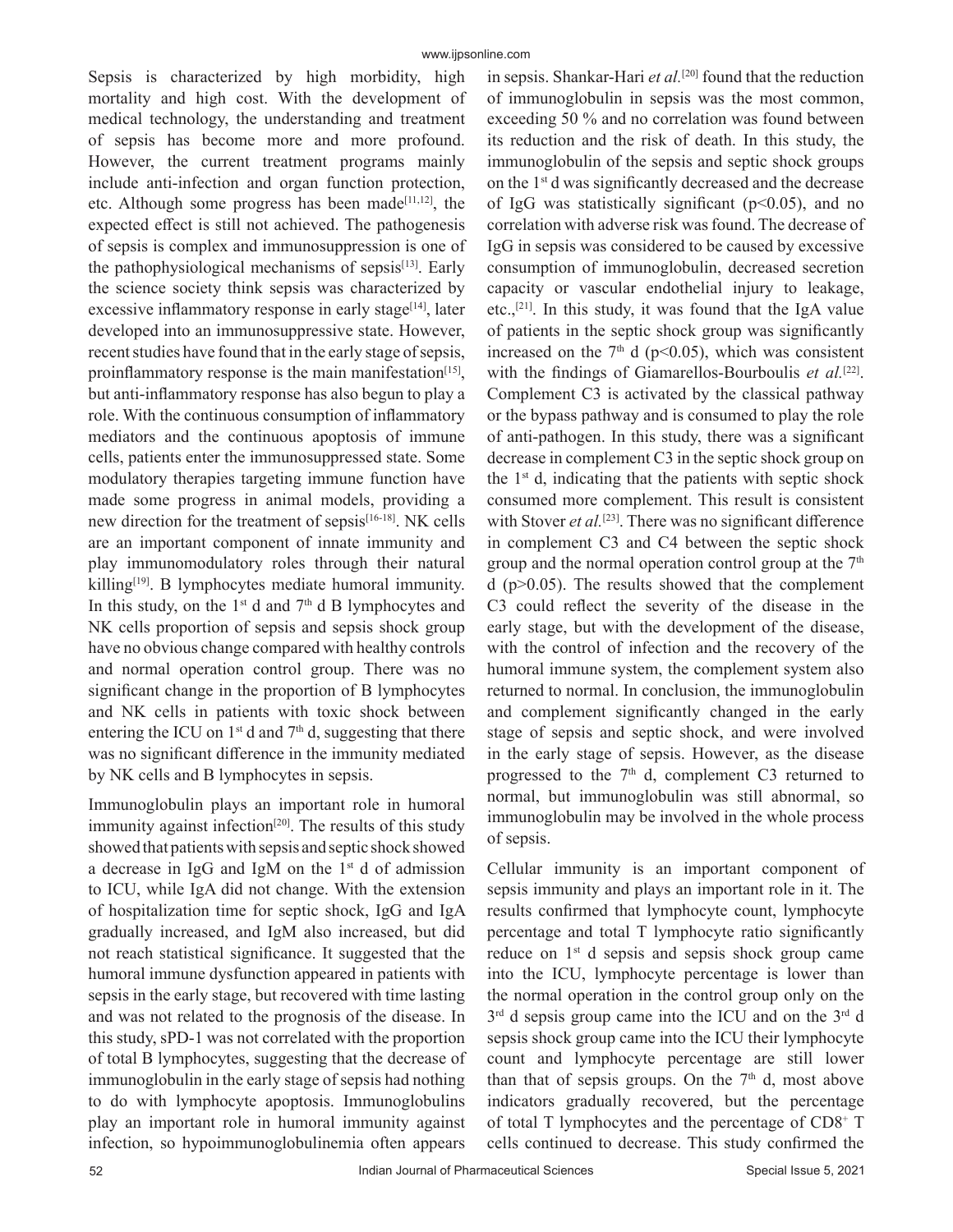Sepsis is characterized by high morbidity, high mortality and high cost. With the development of medical technology, the understanding and treatment of sepsis has become more and more profound. However, the current treatment programs mainly include anti-infection and organ function protection, etc. Although some progress has been made<sup>[11,12]</sup>, the expected effect is still not achieved. The pathogenesis of sepsis is complex and immunosuppression is one of the pathophysiological mechanisms of sepsis $[13]$ . Early the science society think sepsis was characterized by excessive inflammatory response in early stage $[14]$ , later developed into an immunosuppressive state. However, recent studies have found that in the early stage of sepsis, proinflammatory response is the main manifestation<sup>[15]</sup>, but anti-inflammatory response has also begun to play a role. With the continuous consumption of inflammatory mediators and the continuous apoptosis of immune cells, patients enter the immunosuppressed state. Some modulatory therapies targeting immune function have made some progress in animal models, providing a new direction for the treatment of sepsis<sup>[16-18]</sup>. NK cells are an important component of innate immunity and play immunomodulatory roles through their natural killing $[19]$ . B lymphocytes mediate humoral immunity. In this study, on the  $1<sup>st</sup>$  d and  $7<sup>th</sup>$  d B lymphocytes and NK cells proportion of sepsis and sepsis shock group have no obvious change compared with healthy controls and normal operation control group. There was no significant change in the proportion of B lymphocytes and NK cells in patients with toxic shock between entering the ICU on  $1<sup>st</sup>$  d and  $7<sup>th</sup>$  d, suggesting that there was no significant difference in the immunity mediated by NK cells and B lymphocytes in sepsis.

Immunoglobulin plays an important role in humoral immunity against infection<sup>[20]</sup>. The results of this study showed that patients with sepsis and septic shock showed a decrease in IgG and IgM on the  $1<sup>st</sup>$  d of admission to ICU, while IgA did not change. With the extension of hospitalization time for septic shock, IgG and IgA gradually increased, and IgM also increased, but did not reach statistical significance. It suggested that the humoral immune dysfunction appeared in patients with sepsis in the early stage, but recovered with time lasting and was not related to the prognosis of the disease. In this study, sPD-1 was not correlated with the proportion of total B lymphocytes, suggesting that the decrease of immunoglobulin in the early stage of sepsis had nothing to do with lymphocyte apoptosis. Immunoglobulins play an important role in humoral immunity against infection, so hypoimmunoglobulinemia often appears

in sepsis. Shankar-Hari *et al.*<sup>[20]</sup> found that the reduction of immunoglobulin in sepsis was the most common, exceeding 50 % and no correlation was found between its reduction and the risk of death. In this study, the immunoglobulin of the sepsis and septic shock groups on the 1st d was significantly decreased and the decrease of IgG was statistically significant ( $p$ <0.05), and no correlation with adverse risk was found. The decrease of IgG in sepsis was considered to be caused by excessive consumption of immunoglobulin, decreased secretion capacity or vascular endothelial injury to leakage, etc.,[21]. In this study, it was found that the IgA value of patients in the septic shock group was significantly increased on the  $7<sup>th</sup>$  d (p<0.05), which was consistent with the findings of Giamarellos-Bourboulis *et al.*<sup>[22]</sup>. Complement C3 is activated by the classical pathway or the bypass pathway and is consumed to play the role of anti-pathogen. In this study, there was a significant decrease in complement C3 in the septic shock group on the  $1<sup>st</sup>$  d, indicating that the patients with septic shock consumed more complement. This result is consistent with Stover *et al.*<sup>[23]</sup>. There was no significant difference in complement C3 and C4 between the septic shock group and the normal operation control group at the  $7<sup>th</sup>$ d ( $p$  $>$ 0.05). The results showed that the complement C3 could reflect the severity of the disease in the early stage, but with the development of the disease, with the control of infection and the recovery of the humoral immune system, the complement system also returned to normal. In conclusion, the immunoglobulin and complement significantly changed in the early stage of sepsis and septic shock, and were involved in the early stage of sepsis. However, as the disease progressed to the  $7<sup>th</sup>$  d, complement C3 returned to normal, but immunoglobulin was still abnormal, so immunoglobulin may be involved in the whole process of sepsis.

Cellular immunity is an important component of sepsis immunity and plays an important role in it. The results confirmed that lymphocyte count, lymphocyte percentage and total T lymphocyte ratio significantly reduce on 1st d sepsis and sepsis shock group came into the ICU, lymphocyte percentage is lower than the normal operation in the control group only on the 3<sup>rd</sup> d sepsis group came into the ICU and on the 3<sup>rd</sup> d sepsis shock group came into the ICU their lymphocyte count and lymphocyte percentage are still lower than that of sepsis groups. On the  $7<sup>th</sup>$  d, most above indicators gradually recovered, but the percentage of total T lymphocytes and the percentage of CD8+ T cells continued to decrease. This study confirmed the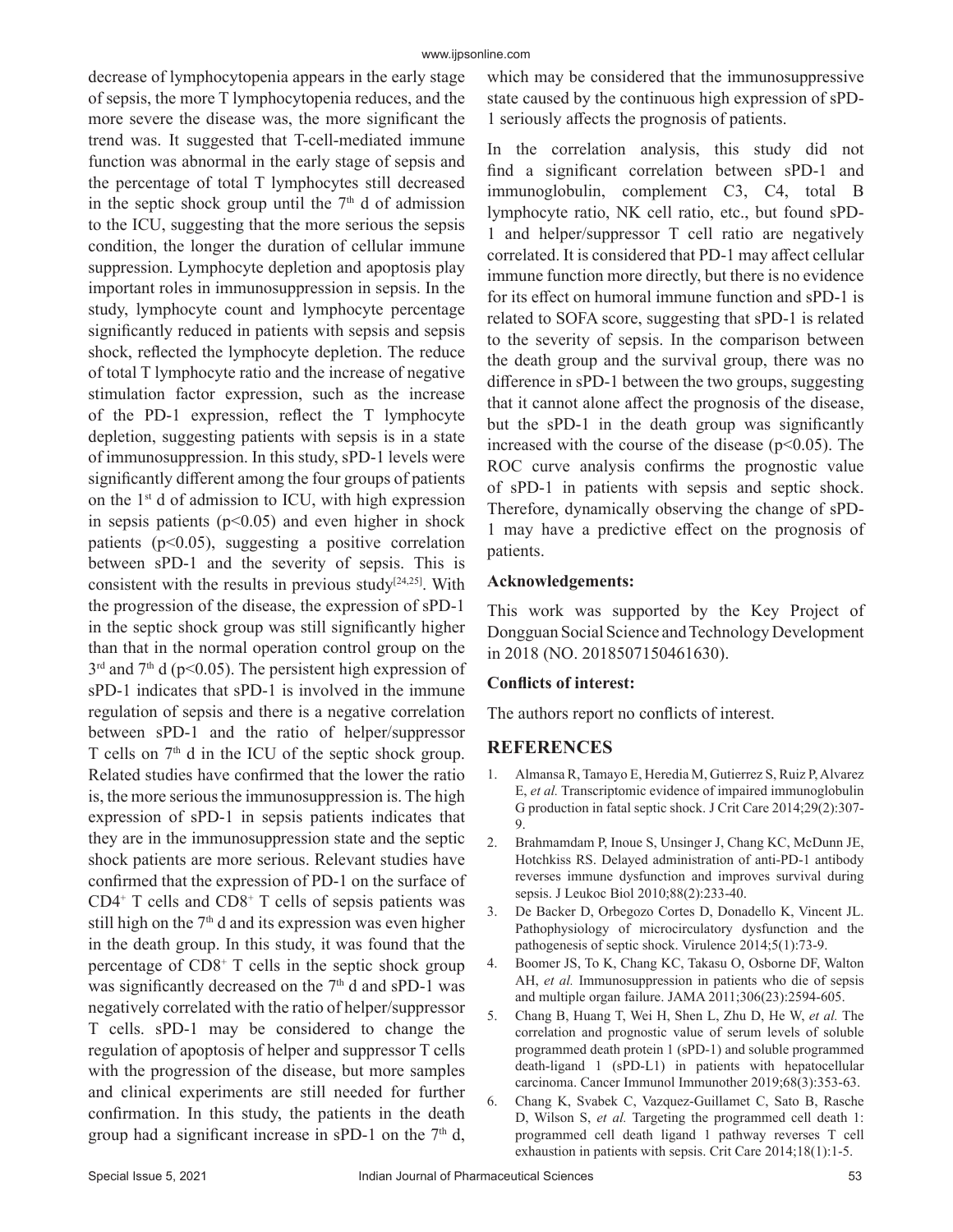decrease of lymphocytopenia appears in the early stage of sepsis, the more T lymphocytopenia reduces, and the more severe the disease was, the more significant the trend was. It suggested that T-cell-mediated immune function was abnormal in the early stage of sepsis and the percentage of total T lymphocytes still decreased in the septic shock group until the  $7<sup>th</sup>$  d of admission to the ICU, suggesting that the more serious the sepsis condition, the longer the duration of cellular immune suppression. Lymphocyte depletion and apoptosis play important roles in immunosuppression in sepsis. In the study, lymphocyte count and lymphocyte percentage significantly reduced in patients with sepsis and sepsis shock, reflected the lymphocyte depletion. The reduce of total T lymphocyte ratio and the increase of negative stimulation factor expression, such as the increase of the PD-1 expression, reflect the T lymphocyte depletion, suggesting patients with sepsis is in a state of immunosuppression. In this study, sPD-1 levels were significantly different among the four groups of patients on the  $1<sup>st</sup>$  d of admission to ICU, with high expression in sepsis patients  $(p<0.05)$  and even higher in shock patients ( $p<0.05$ ), suggesting a positive correlation between sPD-1 and the severity of sepsis. This is consistent with the results in previous study<sup>[24,25]</sup>. With the progression of the disease, the expression of sPD-1 in the septic shock group was still significantly higher than that in the normal operation control group on the  $3<sup>rd</sup>$  and  $7<sup>th</sup>$  d (p<0.05). The persistent high expression of sPD-1 indicates that sPD-1 is involved in the immune regulation of sepsis and there is a negative correlation between sPD-1 and the ratio of helper/suppressor T cells on  $7<sup>th</sup>$  d in the ICU of the septic shock group. Related studies have confirmed that the lower the ratio is, the more serious the immunosuppression is. The high expression of sPD-1 in sepsis patients indicates that they are in the immunosuppression state and the septic shock patients are more serious. Relevant studies have confirmed that the expression of PD-1 on the surface of  $CD4^+$  T cells and  $CD8^+$  T cells of sepsis patients was still high on the  $7<sup>th</sup>$  d and its expression was even higher in the death group. In this study, it was found that the percentage of CD8+ T cells in the septic shock group was significantly decreased on the  $7<sup>th</sup>$  d and sPD-1 was negatively correlated with the ratio of helper/suppressor T cells. sPD-1 may be considered to change the regulation of apoptosis of helper and suppressor T cells with the progression of the disease, but more samples and clinical experiments are still needed for further confirmation. In this study, the patients in the death group had a significant increase in sPD-1 on the  $7<sup>th</sup>$  d,

which may be considered that the immunosuppressive state caused by the continuous high expression of sPD-1 seriously affects the prognosis of patients.

In the correlation analysis, this study did not find a significant correlation between sPD-1 and immunoglobulin, complement C3, C4, total B lymphocyte ratio, NK cell ratio, etc., but found sPD-1 and helper/suppressor T cell ratio are negatively correlated. It is considered that PD-1 may affect cellular immune function more directly, but there is no evidence for its effect on humoral immune function and sPD-1 is related to SOFA score, suggesting that sPD-1 is related to the severity of sepsis. In the comparison between the death group and the survival group, there was no difference in sPD-1 between the two groups, suggesting that it cannot alone affect the prognosis of the disease, but the sPD-1 in the death group was significantly increased with the course of the disease ( $p<0.05$ ). The ROC curve analysis confirms the prognostic value of sPD-1 in patients with sepsis and septic shock. Therefore, dynamically observing the change of sPD-1 may have a predictive effect on the prognosis of patients.

### **Acknowledgements:**

This work was supported by the Key Project of Dongguan Social Science and Technology Development in 2018 (NO. 2018507150461630).

# **Conflicts of interest:**

The authors report no conflicts of interest.

# **REFERENCES**

- 1. Almansa R, Tamayo E, Heredia M, Gutierrez S, Ruiz P, Alvarez E, *et al.* Transcriptomic evidence of impaired immunoglobulin G production in fatal septic shock. J Crit Care 2014;29(2):307- 9.
- 2. Brahmamdam P, Inoue S, Unsinger J, Chang KC, McDunn JE, Hotchkiss RS. Delayed administration of anti‐PD‐1 antibody reverses immune dysfunction and improves survival during sepsis. J Leukoc Biol 2010;88(2):233-40.
- 3. De Backer D, Orbegozo Cortes D, Donadello K, Vincent JL. Pathophysiology of microcirculatory dysfunction and the pathogenesis of septic shock. Virulence 2014;5(1):73-9.
- 4. Boomer JS, To K, Chang KC, Takasu O, Osborne DF, Walton AH, *et al.* Immunosuppression in patients who die of sepsis and multiple organ failure. JAMA 2011;306(23):2594-605.
- 5. Chang B, Huang T, Wei H, Shen L, Zhu D, He W, *et al.* The correlation and prognostic value of serum levels of soluble programmed death protein 1 (sPD-1) and soluble programmed death-ligand 1 (sPD-L1) in patients with hepatocellular carcinoma. Cancer Immunol Immunother 2019;68(3):353-63.
- 6. Chang K, Svabek C, Vazquez-Guillamet C, Sato B, Rasche D, Wilson S, *et al.* Targeting the programmed cell death 1: programmed cell death ligand 1 pathway reverses T cell exhaustion in patients with sepsis. Crit Care 2014;18(1):1-5.